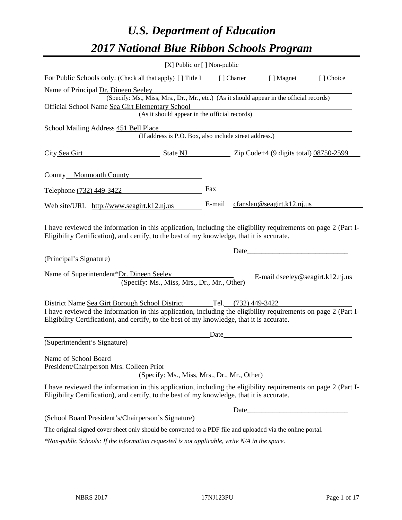# *U.S. Department of Education 2017 National Blue Ribbon Schools Program*

|                                                                                                                                                                                                              | $[X]$ Public or $[ ]$ Non-public                                                                           |            |                                                                                                                                                                                                                                |           |
|--------------------------------------------------------------------------------------------------------------------------------------------------------------------------------------------------------------|------------------------------------------------------------------------------------------------------------|------------|--------------------------------------------------------------------------------------------------------------------------------------------------------------------------------------------------------------------------------|-----------|
| For Public Schools only: (Check all that apply) [] Title I                                                                                                                                                   |                                                                                                            | [] Charter | [ ] Magnet                                                                                                                                                                                                                     | [] Choice |
| Name of Principal Dr. Dineen Seeley                                                                                                                                                                          |                                                                                                            |            |                                                                                                                                                                                                                                |           |
|                                                                                                                                                                                                              | (Specify: Ms., Miss, Mrs., Dr., Mr., etc.) (As it should appear in the official records)                   |            |                                                                                                                                                                                                                                |           |
| Official School Name Sea Girt Elementary School                                                                                                                                                              |                                                                                                            |            |                                                                                                                                                                                                                                |           |
|                                                                                                                                                                                                              | (As it should appear in the official records)                                                              |            |                                                                                                                                                                                                                                |           |
| School Mailing Address 451 Bell Place                                                                                                                                                                        |                                                                                                            |            |                                                                                                                                                                                                                                |           |
|                                                                                                                                                                                                              | (If address is P.O. Box, also include street address.)                                                     |            |                                                                                                                                                                                                                                |           |
| City Sea Girt                                                                                                                                                                                                | $\frac{1}{2}$ State NJ $\frac{1}{2}$ Zip Code+4 (9 digits total) $\frac{08750-2599}{2}$                    |            |                                                                                                                                                                                                                                |           |
| County Monmouth County                                                                                                                                                                                       |                                                                                                            |            |                                                                                                                                                                                                                                |           |
| Telephone (732) 449-3422                                                                                                                                                                                     |                                                                                                            |            | Fax and the state of the state of the state of the state of the state of the state of the state of the state of the state of the state of the state of the state of the state of the state of the state of the state of the st |           |
| Web site/URL http://www.seagirt.k12.nj.us                                                                                                                                                                    |                                                                                                            |            | E-mail $cfanslau@seagirt.k12.nj.us$                                                                                                                                                                                            |           |
| Eligibility Certification), and certify, to the best of my knowledge, that it is accurate.<br>(Principal's Signature)                                                                                        |                                                                                                            |            | Date                                                                                                                                                                                                                           |           |
| Name of Superintendent*Dr. Dineen Seeley                                                                                                                                                                     | (Specify: Ms., Miss, Mrs., Dr., Mr., Other)                                                                |            | E-mail $dseeley@seagirt.k12.nj.us$                                                                                                                                                                                             |           |
| District Name Sea Girt Borough School District Tel. (732) 449-3422                                                                                                                                           |                                                                                                            |            |                                                                                                                                                                                                                                |           |
| I have reviewed the information in this application, including the eligibility requirements on page 2 (Part I-<br>Eligibility Certification), and certify, to the best of my knowledge, that it is accurate. |                                                                                                            |            |                                                                                                                                                                                                                                |           |
|                                                                                                                                                                                                              |                                                                                                            | Date       |                                                                                                                                                                                                                                |           |
| (Superintendent's Signature)                                                                                                                                                                                 |                                                                                                            |            |                                                                                                                                                                                                                                |           |
| Name of School Board<br>President/Chairperson Mrs. Colleen Prior                                                                                                                                             | (Specify: Ms., Miss, Mrs., Dr., Mr., Other)                                                                |            |                                                                                                                                                                                                                                |           |
|                                                                                                                                                                                                              |                                                                                                            |            |                                                                                                                                                                                                                                |           |
| I have reviewed the information in this application, including the eligibility requirements on page 2 (Part I-<br>Eligibility Certification), and certify, to the best of my knowledge, that it is accurate. |                                                                                                            |            |                                                                                                                                                                                                                                |           |
|                                                                                                                                                                                                              |                                                                                                            | Date       |                                                                                                                                                                                                                                |           |
| (School Board President's/Chairperson's Signature)                                                                                                                                                           |                                                                                                            |            |                                                                                                                                                                                                                                |           |
|                                                                                                                                                                                                              | The original signed cover sheet only should be converted to a PDF file and uploaded via the online portal. |            |                                                                                                                                                                                                                                |           |
| *Non-public Schools: If the information requested is not applicable, write N/A in the space.                                                                                                                 |                                                                                                            |            |                                                                                                                                                                                                                                |           |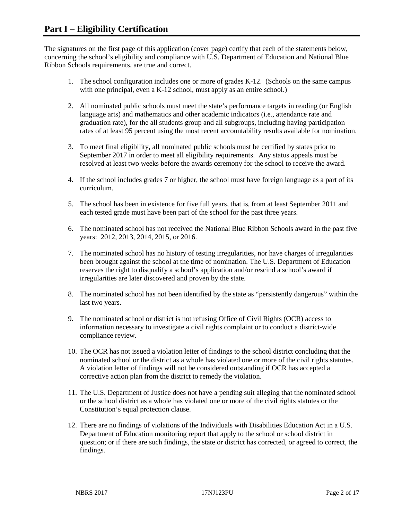The signatures on the first page of this application (cover page) certify that each of the statements below, concerning the school's eligibility and compliance with U.S. Department of Education and National Blue Ribbon Schools requirements, are true and correct.

- 1. The school configuration includes one or more of grades K-12. (Schools on the same campus with one principal, even a K-12 school, must apply as an entire school.)
- 2. All nominated public schools must meet the state's performance targets in reading (or English language arts) and mathematics and other academic indicators (i.e., attendance rate and graduation rate), for the all students group and all subgroups, including having participation rates of at least 95 percent using the most recent accountability results available for nomination.
- 3. To meet final eligibility, all nominated public schools must be certified by states prior to September 2017 in order to meet all eligibility requirements. Any status appeals must be resolved at least two weeks before the awards ceremony for the school to receive the award.
- 4. If the school includes grades 7 or higher, the school must have foreign language as a part of its curriculum.
- 5. The school has been in existence for five full years, that is, from at least September 2011 and each tested grade must have been part of the school for the past three years.
- 6. The nominated school has not received the National Blue Ribbon Schools award in the past five years: 2012, 2013, 2014, 2015, or 2016.
- 7. The nominated school has no history of testing irregularities, nor have charges of irregularities been brought against the school at the time of nomination. The U.S. Department of Education reserves the right to disqualify a school's application and/or rescind a school's award if irregularities are later discovered and proven by the state.
- 8. The nominated school has not been identified by the state as "persistently dangerous" within the last two years.
- 9. The nominated school or district is not refusing Office of Civil Rights (OCR) access to information necessary to investigate a civil rights complaint or to conduct a district-wide compliance review.
- 10. The OCR has not issued a violation letter of findings to the school district concluding that the nominated school or the district as a whole has violated one or more of the civil rights statutes. A violation letter of findings will not be considered outstanding if OCR has accepted a corrective action plan from the district to remedy the violation.
- 11. The U.S. Department of Justice does not have a pending suit alleging that the nominated school or the school district as a whole has violated one or more of the civil rights statutes or the Constitution's equal protection clause.
- 12. There are no findings of violations of the Individuals with Disabilities Education Act in a U.S. Department of Education monitoring report that apply to the school or school district in question; or if there are such findings, the state or district has corrected, or agreed to correct, the findings.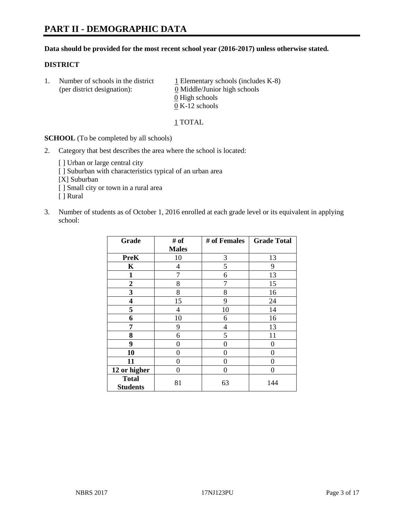#### **Data should be provided for the most recent school year (2016-2017) unless otherwise stated.**

#### **DISTRICT**

1. Number of schools in the district  $1$  Elementary schools (includes K-8) (per district designation): 0 Middle/Junior high schools  $\underline{0}$  High schools 0 K-12 schools

#### 1 TOTAL

**SCHOOL** (To be completed by all schools)

- 2. Category that best describes the area where the school is located:
	- [] Urban or large central city [ ] Suburban with characteristics typical of an urban area [X] Suburban [ ] Small city or town in a rural area [ ] Rural
- 3. Number of students as of October 1, 2016 enrolled at each grade level or its equivalent in applying school:

| Grade                           | # of         | # of Females | <b>Grade Total</b> |
|---------------------------------|--------------|--------------|--------------------|
|                                 | <b>Males</b> |              |                    |
| <b>PreK</b>                     | 10           | 3            | 13                 |
| K                               | 4            | 5            | 9                  |
| $\mathbf{1}$                    | 7            | 6            | 13                 |
| $\boldsymbol{2}$                | 8            | 7            | 15                 |
| 3                               | 8            | 8            | 16                 |
| $\overline{\mathbf{4}}$         | 15           | 9            | 24                 |
| 5                               | 4            | 10           | 14                 |
| 6                               | 10           | 6            | 16                 |
| 7                               | 9            | 4            | 13                 |
| 8                               | 6            | 5            | 11                 |
| 9                               | 0            | 0            | 0                  |
| 10                              | 0            | 0            | 0                  |
| 11                              | 0            | 0            | 0                  |
| 12 or higher                    | 0            | 0            | 0                  |
| <b>Total</b><br><b>Students</b> | 81           | 63           | 144                |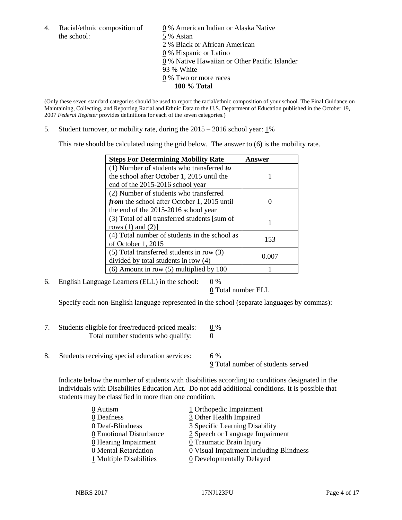4. Racial/ethnic composition of  $\qquad \qquad \underline{0}$  % American Indian or Alaska Native the school: 5 % Asian

 % Black or African American % Hispanic or Latino % Native Hawaiian or Other Pacific Islander 93 % White % Two or more races **100 % Total**

(Only these seven standard categories should be used to report the racial/ethnic composition of your school. The Final Guidance on Maintaining, Collecting, and Reporting Racial and Ethnic Data to the U.S. Department of Education published in the October 19, 2007 *Federal Register* provides definitions for each of the seven categories.)

5. Student turnover, or mobility rate, during the 2015 – 2016 school year: 1%

This rate should be calculated using the grid below. The answer to (6) is the mobility rate.

| <b>Steps For Determining Mobility Rate</b>         | Answer |  |
|----------------------------------------------------|--------|--|
| (1) Number of students who transferred to          |        |  |
| the school after October 1, 2015 until the         |        |  |
| end of the 2015-2016 school year                   |        |  |
| (2) Number of students who transferred             |        |  |
| <i>from</i> the school after October 1, 2015 until |        |  |
| the end of the 2015-2016 school year               |        |  |
| (3) Total of all transferred students [sum of      |        |  |
| rows $(1)$ and $(2)$ ]                             |        |  |
| (4) Total number of students in the school as      | 153    |  |
| of October 1, 2015                                 |        |  |
| $(5)$ Total transferred students in row $(3)$      | 0.007  |  |
| divided by total students in row (4)               |        |  |
| $(6)$ Amount in row $(5)$ multiplied by 100        |        |  |

6. English Language Learners (ELL) in the school:  $0\%$ 

0 Total number ELL

Specify each non-English language represented in the school (separate languages by commas):

- 7. Students eligible for free/reduced-priced meals:  $0\%$ Total number students who qualify: 0
- 8. Students receiving special education services: 6 %

9 Total number of students served

Indicate below the number of students with disabilities according to conditions designated in the Individuals with Disabilities Education Act. Do not add additional conditions. It is possible that students may be classified in more than one condition.

| 0 Autism                | 1 Orthopedic Impairment                               |
|-------------------------|-------------------------------------------------------|
| 0 Deafness              | 3 Other Health Impaired                               |
| 0 Deaf-Blindness        | 3 Specific Learning Disability                        |
| 0 Emotional Disturbance | 2 Speech or Language Impairment                       |
| 0 Hearing Impairment    | 0 Traumatic Brain Injury                              |
| 0 Mental Retardation    | $\underline{0}$ Visual Impairment Including Blindness |
| 1 Multiple Disabilities | <b>0</b> Developmentally Delayed                      |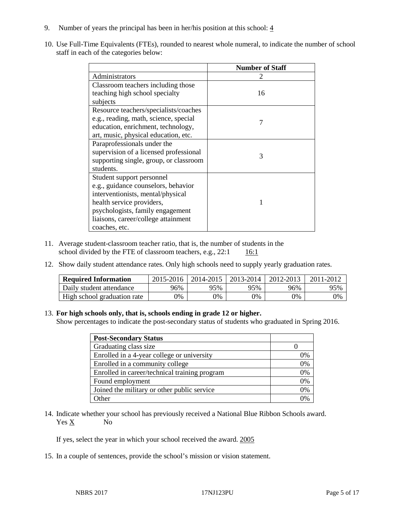- 9. Number of years the principal has been in her/his position at this school:  $\frac{4}{3}$
- 10. Use Full-Time Equivalents (FTEs), rounded to nearest whole numeral, to indicate the number of school staff in each of the categories below:

|                                        | <b>Number of Staff</b> |
|----------------------------------------|------------------------|
| Administrators                         |                        |
| Classroom teachers including those     |                        |
| teaching high school specialty         | 16                     |
| subjects                               |                        |
| Resource teachers/specialists/coaches  |                        |
| e.g., reading, math, science, special  | 7                      |
| education, enrichment, technology,     |                        |
| art, music, physical education, etc.   |                        |
| Paraprofessionals under the            |                        |
| supervision of a licensed professional | 3                      |
| supporting single, group, or classroom |                        |
| students.                              |                        |
| Student support personnel              |                        |
| e.g., guidance counselors, behavior    |                        |
| interventionists, mental/physical      |                        |
| health service providers,              |                        |
| psychologists, family engagement       |                        |
| liaisons, career/college attainment    |                        |
| coaches, etc.                          |                        |

- 11. Average student-classroom teacher ratio, that is, the number of students in the school divided by the FTE of classroom teachers, e.g.,  $22:1$  16:1
- 12. Show daily student attendance rates. Only high schools need to supply yearly graduation rates.

| <b>Required Information</b> | 2015-2016 | $2014 - 2015$ | 2013-2014 | 2012-2013 | 2011-2012 |
|-----------------------------|-----------|---------------|-----------|-----------|-----------|
| Daily student attendance    | 96%       | 95%           | 95%       | 96%       | 95%       |
| High school graduation rate | $0\%$     | 0%            | 0%        | 9%        | 0%        |

#### 13. **For high schools only, that is, schools ending in grade 12 or higher.**

Show percentages to indicate the post-secondary status of students who graduated in Spring 2016.

| <b>Post-Secondary Status</b>                  |    |
|-----------------------------------------------|----|
| Graduating class size                         |    |
| Enrolled in a 4-year college or university    | 0% |
| Enrolled in a community college               | 0% |
| Enrolled in career/technical training program | 0% |
| Found employment                              | 0% |
| Joined the military or other public service   | 0% |
| $\Delta$ ther                                 |    |

14. Indicate whether your school has previously received a National Blue Ribbon Schools award. Yes X No

If yes, select the year in which your school received the award. 2005

15. In a couple of sentences, provide the school's mission or vision statement.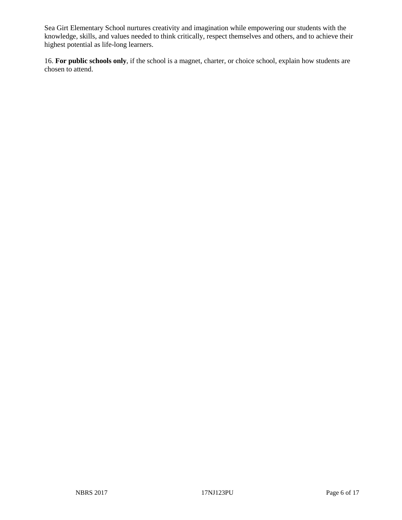Sea Girt Elementary School nurtures creativity and imagination while empowering our students with the knowledge, skills, and values needed to think critically, respect themselves and others, and to achieve their highest potential as life-long learners.

16. **For public schools only**, if the school is a magnet, charter, or choice school, explain how students are chosen to attend.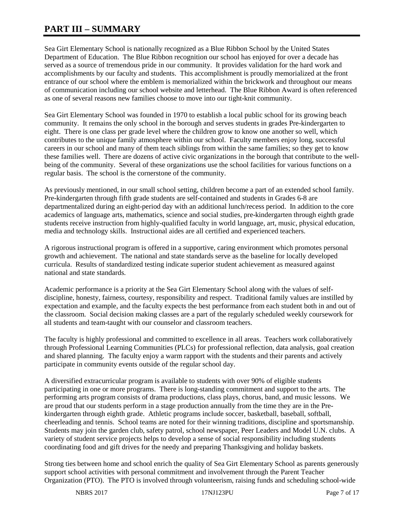## **PART III – SUMMARY**

Sea Girt Elementary School is nationally recognized as a Blue Ribbon School by the United States Department of Education. The Blue Ribbon recognition our school has enjoyed for over a decade has served as a source of tremendous pride in our community. It provides validation for the hard work and accomplishments by our faculty and students. This accomplishment is proudly memorialized at the front entrance of our school where the emblem is memorialized within the brickwork and throughout our means of communication including our school website and letterhead. The Blue Ribbon Award is often referenced as one of several reasons new families choose to move into our tight-knit community.

Sea Girt Elementary School was founded in 1970 to establish a local public school for its growing beach community. It remains the only school in the borough and serves students in grades Pre-kindergarten to eight. There is one class per grade level where the children grow to know one another so well, which contributes to the unique family atmosphere within our school. Faculty members enjoy long, successful careers in our school and many of them teach siblings from within the same families; so they get to know these families well. There are dozens of active civic organizations in the borough that contribute to the wellbeing of the community. Several of these organizations use the school facilities for various functions on a regular basis. The school is the cornerstone of the community.

As previously mentioned, in our small school setting, children become a part of an extended school family. Pre-kindergarten through fifth grade students are self-contained and students in Grades 6-8 are departmentalized during an eight-period day with an additional lunch/recess period. In addition to the core academics of language arts, mathematics, science and social studies, pre-kindergarten through eighth grade students receive instruction from highly-qualified faculty in world language, art, music, physical education, media and technology skills. Instructional aides are all certified and experienced teachers.

A rigorous instructional program is offered in a supportive, caring environment which promotes personal growth and achievement. The national and state standards serve as the baseline for locally developed curricula. Results of standardized testing indicate superior student achievement as measured against national and state standards.

Academic performance is a priority at the Sea Girt Elementary School along with the values of selfdiscipline, honesty, fairness, courtesy, responsibility and respect. Traditional family values are instilled by expectation and example, and the faculty expects the best performance from each student both in and out of the classroom. Social decision making classes are a part of the regularly scheduled weekly coursework for all students and team-taught with our counselor and classroom teachers.

The faculty is highly professional and committed to excellence in all areas. Teachers work collaboratively through Professional Learning Communities (PLCs) for professional reflection, data analysis, goal creation and shared planning. The faculty enjoy a warm rapport with the students and their parents and actively participate in community events outside of the regular school day.

A diversified extracurricular program is available to students with over 90% of eligible students participating in one or more programs. There is long-standing commitment and support to the arts. The performing arts program consists of drama productions, class plays, chorus, band, and music lessons. We are proud that our students perform in a stage production annually from the time they are in the Prekindergarten through eighth grade. Athletic programs include soccer, basketball, baseball, softball, cheerleading and tennis. School teams are noted for their winning traditions, discipline and sportsmanship. Students may join the garden club, safety patrol, school newspaper, Peer Leaders and Model U.N. clubs. A variety of student service projects helps to develop a sense of social responsibility including students coordinating food and gift drives for the needy and preparing Thanksgiving and holiday baskets.

Strong ties between home and school enrich the quality of Sea Girt Elementary School as parents generously support school activities with personal commitment and involvement through the Parent Teacher Organization (PTO). The PTO is involved through volunteerism, raising funds and scheduling school-wide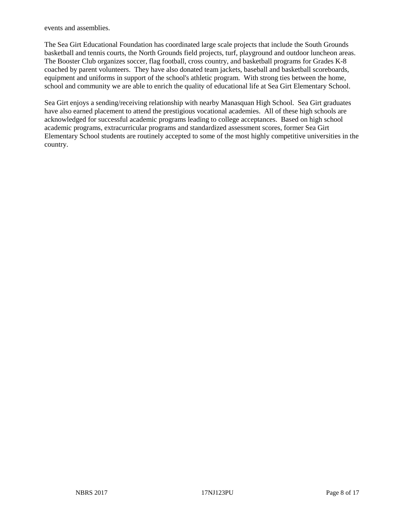events and assemblies.

The Sea Girt Educational Foundation has coordinated large scale projects that include the South Grounds basketball and tennis courts, the North Grounds field projects, turf, playground and outdoor luncheon areas. The Booster Club organizes soccer, flag football, cross country, and basketball programs for Grades K-8 coached by parent volunteers. They have also donated team jackets, baseball and basketball scoreboards, equipment and uniforms in support of the school's athletic program. With strong ties between the home, school and community we are able to enrich the quality of educational life at Sea Girt Elementary School.

Sea Girt enjoys a sending/receiving relationship with nearby Manasquan High School. Sea Girt graduates have also earned placement to attend the prestigious vocational academies. All of these high schools are acknowledged for successful academic programs leading to college acceptances. Based on high school academic programs, extracurricular programs and standardized assessment scores, former Sea Girt Elementary School students are routinely accepted to some of the most highly competitive universities in the country.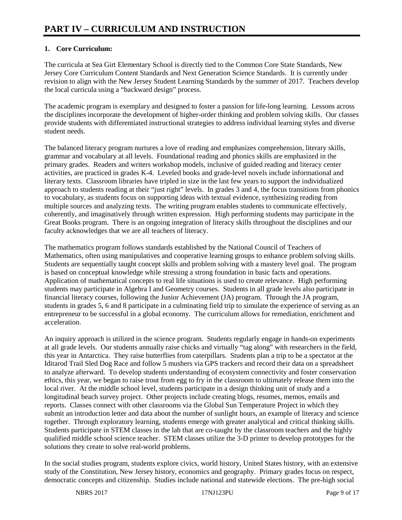### **1. Core Curriculum:**

The curricula at Sea Girt Elementary School is directly tied to the Common Core State Standards, New Jersey Core Curriculum Content Standards and Next Generation Science Standards. It is currently under revision to align with the New Jersey Student Learning Standards by the summer of 2017. Teachers develop the local curricula using a "backward design" process.

The academic program is exemplary and designed to foster a passion for life-long learning. Lessons across the disciplines incorporate the development of higher-order thinking and problem solving skills. Our classes provide students with differentiated instructional strategies to address individual learning styles and diverse student needs.

The balanced literacy program nurtures a love of reading and emphasizes comprehension, literary skills, grammar and vocabulary at all levels. Foundational reading and phonics skills are emphasized in the primary grades. Readers and writers workshop models, inclusive of guided reading and literacy center activities, are practiced in grades K-4. Leveled books and grade-level novels include informational and literary texts. Classroom libraries have tripled in size in the last few years to support the individualized approach to students reading at their "just right" levels. In grades 3 and 4, the focus transitions from phonics to vocabulary, as students focus on supporting ideas with textual evidence, synthesizing reading from multiple sources and analyzing texts. The writing program enables students to communicate effectively, coherently, and imaginatively through written expression. High performing students may participate in the Great Books program. There is an ongoing integration of literacy skills throughout the disciplines and our faculty acknowledges that we are all teachers of literacy.

The mathematics program follows standards established by the National Council of Teachers of Mathematics, often using manipulatives and cooperative learning groups to enhance problem solving skills. Students are sequentially taught concept skills and problem solving with a mastery level goal. The program is based on conceptual knowledge while stressing a strong foundation in basic facts and operations. Application of mathematical concepts to real life situations is used to create relevance. High performing students may participate in Algebra I and Geometry courses. Students in all grade levels also participate in financial literacy courses, following the Junior Achievement (JA) program. Through the JA program, students in grades 5, 6 and 8 participate in a culminating field trip to simulate the experience of serving as an entrepreneur to be successful in a global economy. The curriculum allows for remediation, enrichment and acceleration.

An inquiry approach is utilized in the science program. Students regularly engage in hands-on experiments at all grade levels. Our students annually raise chicks and virtually "tag along" with researchers in the field, this year in Antarctica. They raise butterflies from caterpillars. Students plan a trip to be a spectator at the Iditarod Trail Sled Dog Race and follow 5 mushers via GPS trackers and record their data on a spreadsheet to analyze afterward. To develop students understanding of ecosystem connectivity and foster conservation ethics, this year, we began to raise trout from egg to fry in the classroom to ultimately release them into the local river. At the middle school level, students participate in a design thinking unit of study and a longitudinal beach survey project. Other projects include creating blogs, resumes, memos, emails and reports. Classes connect with other classrooms via the Global Sun Temperature Project in which they submit an introduction letter and data about the number of sunlight hours, an example of literacy and science together. Through exploratory learning, students emerge with greater analytical and critical thinking skills. Students participate in STEM classes in the lab that are co-taught by the classroom teachers and the highly qualified middle school science teacher. STEM classes utilize the 3-D printer to develop prototypes for the solutions they create to solve real-world problems.

In the social studies program, students explore civics, world history, United States history, with an extensive study of the Constitution, New Jersey history, economics and geography. Primary grades focus on respect, democratic concepts and citizenship. Studies include national and statewide elections. The pre-high social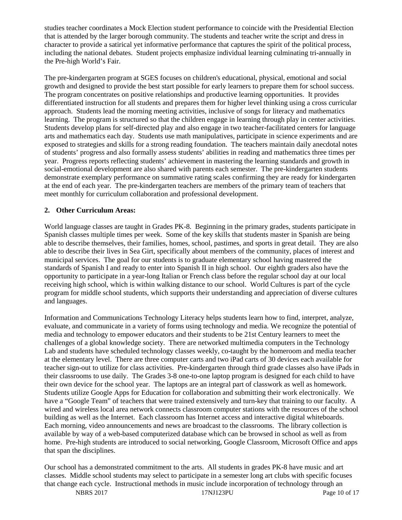studies teacher coordinates a Mock Election student performance to coincide with the Presidential Election that is attended by the larger borough community. The students and teacher write the script and dress in character to provide a satirical yet informative performance that captures the spirit of the political process, including the national debates. Student projects emphasize individual learning culminating tri-annually in the Pre-high World's Fair.

The pre-kindergarten program at SGES focuses on children's educational, physical, emotional and social growth and designed to provide the best start possible for early learners to prepare them for school success. The program concentrates on positive relationships and productive learning opportunities. It provides differentiated instruction for all students and prepares them for higher level thinking using a cross curricular approach. Students lead the morning meeting activities, inclusive of songs for literacy and mathematics learning. The program is structured so that the children engage in learning through play in center activities. Students develop plans for self-directed play and also engage in two teacher-facilitated centers for language arts and mathematics each day. Students use math manipulatives, participate in science experiments and are exposed to strategies and skills for a strong reading foundation. The teachers maintain daily anecdotal notes of students' progress and also formally assess students' abilities in reading and mathematics three times per year. Progress reports reflecting students' achievement in mastering the learning standards and growth in social-emotional development are also shared with parents each semester. The pre-kindergarten students demonstrate exemplary performance on summative rating scales confirming they are ready for kindergarten at the end of each year. The pre-kindergarten teachers are members of the primary team of teachers that meet monthly for curriculum collaboration and professional development.

#### **2. Other Curriculum Areas:**

World language classes are taught in Grades PK-8. Beginning in the primary grades, students participate in Spanish classes multiple times per week. Some of the key skills that students master in Spanish are being able to describe themselves, their families, homes, school, pastimes, and sports in great detail. They are also able to describe their lives in Sea Girt, specifically about members of the community, places of interest and municipal services. The goal for our students is to graduate elementary school having mastered the standards of Spanish I and ready to enter into Spanish II in high school. Our eighth graders also have the opportunity to participate in a year-long Italian or French class before the regular school day at our local receiving high school, which is within walking distance to our school. World Cultures is part of the cycle program for middle school students, which supports their understanding and appreciation of diverse cultures and languages.

Information and Communications Technology Literacy helps students learn how to find, interpret, analyze, evaluate, and communicate in a variety of forms using technology and media. We recognize the potential of media and technology to empower educators and their students to be 21st Century learners to meet the challenges of a global knowledge society. There are networked multimedia computers in the Technology Lab and students have scheduled technology classes weekly, co-taught by the homeroom and media teacher at the elementary level. There are three computer carts and two iPad carts of 30 devices each available for teacher sign-out to utilize for class activities. Pre-kindergarten through third grade classes also have iPads in their classrooms to use daily. The Grades 3-8 one-to-one laptop program is designed for each child to have their own device for the school year. The laptops are an integral part of classwork as well as homework. Students utilize Google Apps for Education for collaboration and submitting their work electronically. We have a "Google Team" of teachers that were trained extensively and turn-key that training to our faculty. A wired and wireless local area network connects classroom computer stations with the resources of the school building as well as the Internet. Each classroom has Internet access and interactive digital whiteboards. Each morning, video announcements and news are broadcast to the classrooms. The library collection is available by way of a web-based computerized database which can be browsed in school as well as from home. Pre-high students are introduced to social networking, Google Classroom, Microsoft Office and apps that span the disciplines.

Our school has a demonstrated commitment to the arts. All students in grades PK-8 have music and art classes. Middle school students may select to participate in a semester long art clubs with specific focuses that change each cycle. Instructional methods in music include incorporation of technology through an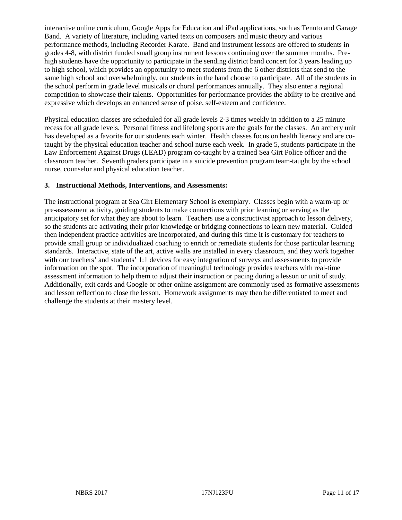interactive online curriculum, Google Apps for Education and iPad applications, such as Tenuto and Garage Band. A variety of literature, including varied texts on composers and music theory and various performance methods, including Recorder Karate. Band and instrument lessons are offered to students in grades 4-8, with district funded small group instrument lessons continuing over the summer months. Prehigh students have the opportunity to participate in the sending district band concert for 3 years leading up to high school, which provides an opportunity to meet students from the 6 other districts that send to the same high school and overwhelmingly, our students in the band choose to participate. All of the students in the school perform in grade level musicals or choral performances annually. They also enter a regional competition to showcase their talents. Opportunities for performance provides the ability to be creative and expressive which develops an enhanced sense of poise, self-esteem and confidence.

Physical education classes are scheduled for all grade levels 2-3 times weekly in addition to a 25 minute recess for all grade levels. Personal fitness and lifelong sports are the goals for the classes. An archery unit has developed as a favorite for our students each winter. Health classes focus on health literacy and are cotaught by the physical education teacher and school nurse each week. In grade 5, students participate in the Law Enforcement Against Drugs (LEAD) program co-taught by a trained Sea Girt Police officer and the classroom teacher. Seventh graders participate in a suicide prevention program team-taught by the school nurse, counselor and physical education teacher.

#### **3. Instructional Methods, Interventions, and Assessments:**

The instructional program at Sea Girt Elementary School is exemplary. Classes begin with a warm-up or pre-assessment activity, guiding students to make connections with prior learning or serving as the anticipatory set for what they are about to learn. Teachers use a constructivist approach to lesson delivery, so the students are activating their prior knowledge or bridging connections to learn new material. Guided then independent practice activities are incorporated, and during this time it is customary for teachers to provide small group or individualized coaching to enrich or remediate students for those particular learning standards. Interactive, state of the art, active walls are installed in every classroom, and they work together with our teachers' and students' 1:1 devices for easy integration of surveys and assessments to provide information on the spot. The incorporation of meaningful technology provides teachers with real-time assessment information to help them to adjust their instruction or pacing during a lesson or unit of study. Additionally, exit cards and Google or other online assignment are commonly used as formative assessments and lesson reflection to close the lesson. Homework assignments may then be differentiated to meet and challenge the students at their mastery level.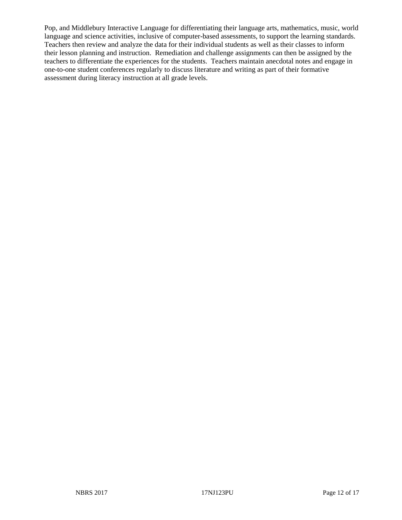Pop, and Middlebury Interactive Language for differentiating their language arts, mathematics, music, world language and science activities, inclusive of computer-based assessments, to support the learning standards. Teachers then review and analyze the data for their individual students as well as their classes to inform their lesson planning and instruction. Remediation and challenge assignments can then be assigned by the teachers to differentiate the experiences for the students. Teachers maintain anecdotal notes and engage in one-to-one student conferences regularly to discuss literature and writing as part of their formative assessment during literacy instruction at all grade levels.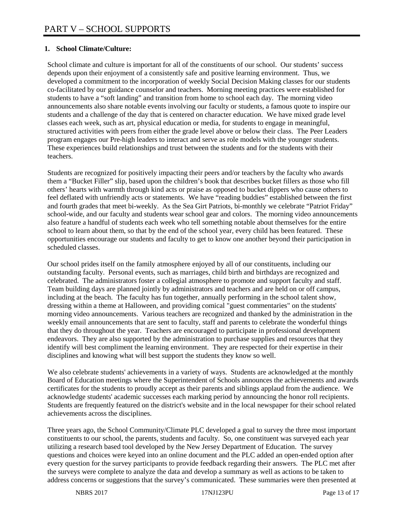#### **1. School Climate/Culture:**

School climate and culture is important for all of the constituents of our school. Our students' success depends upon their enjoyment of a consistently safe and positive learning environment. Thus, we developed a commitment to the incorporation of weekly Social Decision Making classes for our students co-facilitated by our guidance counselor and teachers. Morning meeting practices were established for students to have a "soft landing" and transition from home to school each day. The morning video announcements also share notable events involving our faculty or students, a famous quote to inspire our students and a challenge of the day that is centered on character education. We have mixed grade level classes each week, such as art, physical education or media, for students to engage in meaningful, structured activities with peers from either the grade level above or below their class. The Peer Leaders program engages our Pre-high leaders to interact and serve as role models with the younger students. These experiences build relationships and trust between the students and for the students with their teachers.

Students are recognized for positively impacting their peers and/or teachers by the faculty who awards them a "Bucket Filler" slip, based upon the children's book that describes bucket fillers as those who fill others' hearts with warmth through kind acts or praise as opposed to bucket dippers who cause others to feel deflated with unfriendly acts or statements. We have "reading buddies" established between the first and fourth grades that meet bi-weekly. As the Sea Girt Patriots, bi-monthly we celebrate "Patriot Friday" school-wide, and our faculty and students wear school gear and colors. The morning video announcements also feature a handful of students each week who tell something notable about themselves for the entire school to learn about them, so that by the end of the school year, every child has been featured. These opportunities encourage our students and faculty to get to know one another beyond their participation in scheduled classes.

Our school prides itself on the family atmosphere enjoyed by all of our constituents, including our outstanding faculty. Personal events, such as marriages, child birth and birthdays are recognized and celebrated. The administrators foster a collegial atmosphere to promote and support faculty and staff. Team building days are planned jointly by administrators and teachers and are held on or off campus, including at the beach. The faculty has fun together, annually performing in the school talent show, dressing within a theme at Halloween, and providing comical "guest commentaries" on the students' morning video announcements. Various teachers are recognized and thanked by the administration in the weekly email announcements that are sent to faculty, staff and parents to celebrate the wonderful things that they do throughout the year. Teachers are encouraged to participate in professional development endeavors. They are also supported by the administration to purchase supplies and resources that they identify will best compliment the learning environment. They are respected for their expertise in their disciplines and knowing what will best support the students they know so well.

We also celebrate students' achievements in a variety of ways. Students are acknowledged at the monthly Board of Education meetings where the Superintendent of Schools announces the achievements and awards certificates for the students to proudly accept as their parents and siblings applaud from the audience. We acknowledge students' academic successes each marking period by announcing the honor roll recipients. Students are frequently featured on the district's website and in the local newspaper for their school related achievements across the disciplines.

Three years ago, the School Community/Climate PLC developed a goal to survey the three most important constituents to our school, the parents, students and faculty. So, one constituent was surveyed each year utilizing a research based tool developed by the New Jersey Department of Education. The survey questions and choices were keyed into an online document and the PLC added an open-ended option after every question for the survey participants to provide feedback regarding their answers. The PLC met after the surveys were complete to analyze the data and develop a summary as well as actions to be taken to address concerns or suggestions that the survey's communicated. These summaries were then presented at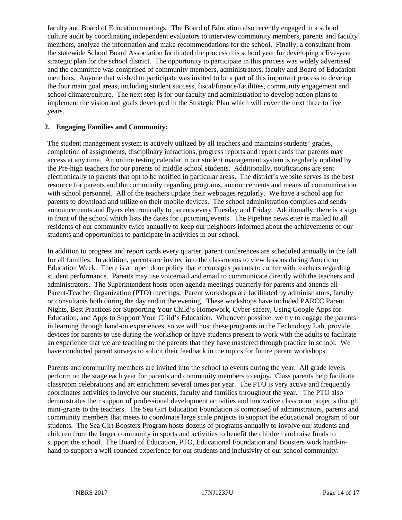faculty and Board of Education meetings. The Board of Education also recently engaged in a school culture audit by coordinating independent evaluators to interview community members, parents and faculty members, analyze the information and make recommendations for the school. Finally, a consultant from the statewide School Board Association facilitated the process this school year for developing a five-year strategic plan for the school district. The opportunity to participate in this process was widely advertised and the committee was comprised of community members, administrators, faculty and Board of Education members. Anyone that wished to participate was invited to be a part of this important process to develop the four main goal areas, including student success, fiscal/finance/facilities, community engagement and school climate/culture. The next step is for our faculty and administration to develop action plans to implement the vision and goals developed in the Strategic Plan which will cover the next three to five years.

#### **2. Engaging Families and Community:**

The student management system is actively utilized by all teachers and maintains students' grades, completion of assignments, disciplinary infractions, progress reports and report cards that parents may access at any time. An online testing calendar in our student management system is regularly updated by the Pre-high teachers for our parents of middle school students. Additionally, notifications are sent electronically to parents that opt to be notified in particular areas. The district's website serves as the best resource for parents and the community regarding programs, announcements and means of communication with school personnel. All of the teachers update their webpages regularly. We have a school app for parents to download and utilize on their mobile devices. The school administration compiles and sends announcements and flyers electronically to parents every Tuesday and Friday. Additionally, there is a sign in front of the school which lists the dates for upcoming events. The Pipeline newsletter is mailed to all residents of our community twice annually to keep our neighbors informed about the achievements of our students and opportunities to participate in activities in our school.

In addition to progress and report cards every quarter, parent conferences are scheduled annually in the fall for all families. In addition, parents are invited into the classrooms to view lessons during American Education Week. There is an open door policy that encourages parents to confer with teachers regarding student performance. Parents may use voicemail and email to communicate directly with the teachers and administrators. The Superintendent hosts open agenda meetings quarterly for parents and attends all Parent-Teacher Organization (PTO) meetings. Parent workshops are facilitated by administrators, faculty or consultants both during the day and in the evening. These workshops have included PARCC Parent Nights, Best Practices for Supporting Your Child's Homework, Cyber-safety, Using Google Apps for Education, and Apps to Support Your Child's Education. Whenever possible, we try to engage the parents in learning through hand-on experiences, so we will host these programs in the Technology Lab, provide devices for parents to use during the workshop or have students present to work with the adults to facilitate an experience that we are teaching to the parents that they have mastered through practice in school. We have conducted parent surveys to solicit their feedback in the topics for future parent workshops.

Parents and community members are invited into the school to events during the year. All grade levels perform on the stage each year for parents and community members to enjoy. Class parents help facilitate classroom celebrations and art enrichment several times per year. The PTO is very active and frequently coordinates activities to involve our students, faculty and families throughout the year. The PTO also demonstrates their support of professional development activities and innovative classroom projects though mini-grants to the teachers. The Sea Girt Education Foundation is comprised of administrators, parents and community members that meets to coordinate large scale projects to support the educational program of our students. The Sea Girt Boosters Program hosts dozens of programs annually to involve our students and children from the larger community in sports and activities to benefit the children and raise funds to support the school. The Board of Education, PTO, Educational Foundation and Boosters work hand-inhand to support a well-rounded experience for our students and inclusivity of our school community.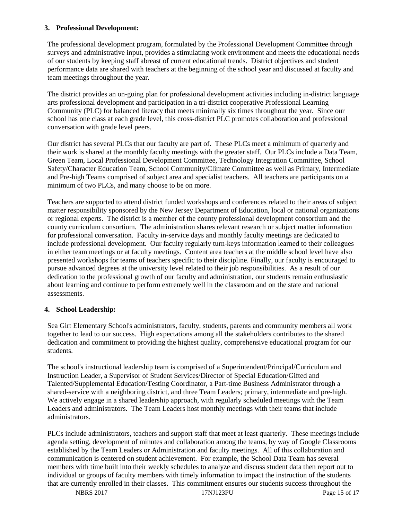#### **3. Professional Development:**

The professional development program, formulated by the Professional Development Committee through surveys and administrative input, provides a stimulating work environment and meets the educational needs of our students by keeping staff abreast of current educational trends. District objectives and student performance data are shared with teachers at the beginning of the school year and discussed at faculty and team meetings throughout the year.

The district provides an on-going plan for professional development activities including in-district language arts professional development and participation in a tri-district cooperative Professional Learning Community (PLC) for balanced literacy that meets minimally six times throughout the year. Since our school has one class at each grade level, this cross-district PLC promotes collaboration and professional conversation with grade level peers.

Our district has several PLCs that our faculty are part of. These PLCs meet a minimum of quarterly and their work is shared at the monthly faculty meetings with the greater staff. Our PLCs include a Data Team, Green Team, Local Professional Development Committee, Technology Integration Committee, School Safety/Character Education Team, School Community/Climate Committee as well as Primary, Intermediate and Pre-high Teams comprised of subject area and specialist teachers. All teachers are participants on a minimum of two PLCs, and many choose to be on more.

Teachers are supported to attend district funded workshops and conferences related to their areas of subject matter responsibility sponsored by the New Jersey Department of Education, local or national organizations or regional experts. The district is a member of the county professional development consortium and the county curriculum consortium. The administration shares relevant research or subject matter information for professional conversation. Faculty in-service days and monthly faculty meetings are dedicated to include professional development. Our faculty regularly turn-keys information learned to their colleagues in either team meetings or at faculty meetings. Content area teachers at the middle school level have also presented workshops for teams of teachers specific to their discipline. Finally, our faculty is encouraged to pursue advanced degrees at the university level related to their job responsibilities. As a result of our dedication to the professional growth of our faculty and administration, our students remain enthusiastic about learning and continue to perform extremely well in the classroom and on the state and national assessments.

#### **4. School Leadership:**

Sea Girt Elementary School's administrators, faculty, students, parents and community members all work together to lead to our success. High expectations among all the stakeholders contributes to the shared dedication and commitment to providing the highest quality, comprehensive educational program for our students.

The school's instructional leadership team is comprised of a Superintendent/Principal/Curriculum and Instruction Leader, a Supervisor of Student Services/Director of Special Education/Gifted and Talented/Supplemental Education/Testing Coordinator, a Part-time Business Administrator through a shared-service with a neighboring district, and three Team Leaders; primary, intermediate and pre-high. We actively engage in a shared leadership approach, with regularly scheduled meetings with the Team Leaders and administrators. The Team Leaders host monthly meetings with their teams that include administrators.

PLCs include administrators, teachers and support staff that meet at least quarterly. These meetings include agenda setting, development of minutes and collaboration among the teams, by way of Google Classrooms established by the Team Leaders or Administration and faculty meetings. All of this collaboration and communication is centered on student achievement. For example, the School Data Team has several members with time built into their weekly schedules to analyze and discuss student data then report out to individual or groups of faculty members with timely information to impact the instruction of the students that are currently enrolled in their classes. This commitment ensures our students success throughout the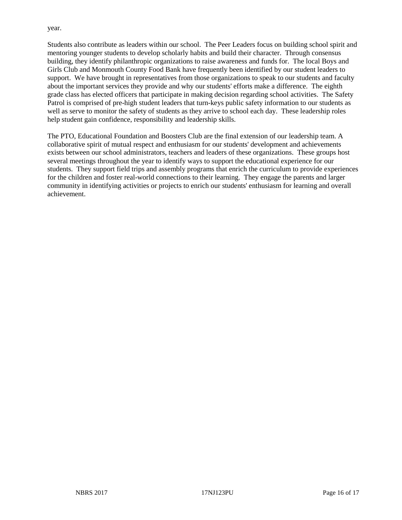year.

Students also contribute as leaders within our school. The Peer Leaders focus on building school spirit and mentoring younger students to develop scholarly habits and build their character. Through consensus building, they identify philanthropic organizations to raise awareness and funds for. The local Boys and Girls Club and Monmouth County Food Bank have frequently been identified by our student leaders to support. We have brought in representatives from those organizations to speak to our students and faculty about the important services they provide and why our students' efforts make a difference. The eighth grade class has elected officers that participate in making decision regarding school activities. The Safety Patrol is comprised of pre-high student leaders that turn-keys public safety information to our students as well as serve to monitor the safety of students as they arrive to school each day. These leadership roles help student gain confidence, responsibility and leadership skills.

The PTO, Educational Foundation and Boosters Club are the final extension of our leadership team. A collaborative spirit of mutual respect and enthusiasm for our students' development and achievements exists between our school administrators, teachers and leaders of these organizations. These groups host several meetings throughout the year to identify ways to support the educational experience for our students. They support field trips and assembly programs that enrich the curriculum to provide experiences for the children and foster real-world connections to their learning. They engage the parents and larger community in identifying activities or projects to enrich our students' enthusiasm for learning and overall achievement.